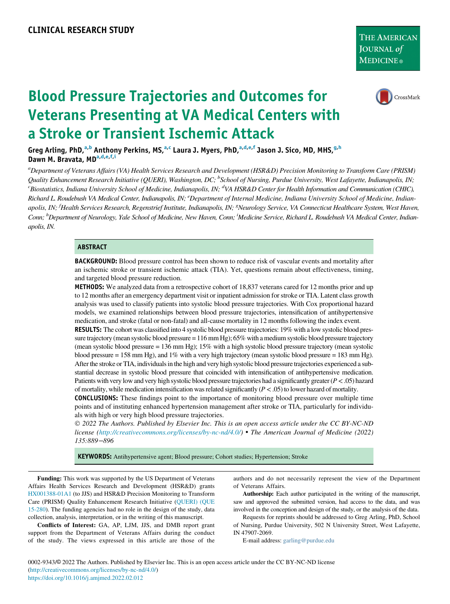

# Blood Pressure Trajectories and Outcomes for Veterans Presenting at VA Medical Centers with a Stroke or Transient Ischemic Attack

Greg Arling, PhD,<sup>[a,](#page-0-0)[b](#page-0-1)</sup> Anthony Perkins, MS,<sup>a,[c](#page-0-1)</sup> Laura J. Myers, PhD,<sup>a,[d](#page-0-2)[,e,](#page-0-3)[f](#page-0-4)</sup> Jason J. Sico, MD, MHS,<sup>[g](#page-0-4)[,h](#page-0-5)</sup> D[a](#page-0-0)wn M. Bravata, MD<sup>a[,d](#page-0-2)[,e](#page-0-3)[,f](#page-0-4)[,i](#page-0-5)</sup>

<span id="page-0-5"></span><span id="page-0-4"></span><span id="page-0-3"></span><span id="page-0-2"></span><span id="page-0-1"></span><span id="page-0-0"></span><sup>a</sup>Department of Veterans Affairs (VA) Health Services Research and Development (HSR&D) Precision Monitoring to Transform Care (PRISM) Quality Enhancement Research Initiative (QUERI), Washington, DC; <sup>b</sup>School of Nursing, Purdue University, West Lafayette, Indianapolis, IN;  $^c$ Biostatistics, Indiana University School of Medicine, Indianapolis, IN; <sup>d</sup>VA HSR&D Center for Health Information and Communication (CHIC), Richard L. Roudebush VA Medical Center, Indianapolis, IN; <sup>e</sup>Department of Internal Medicine, Indiana University School of Medicine, Indianapolis, IN; <sup>f</sup>Health Services Research, Regenstrief Institute, Indianapolis, IN; <sup>8</sup>Neurology Service, VA Connecticut Healthcare System, West Haven, Conn; <sup>h</sup>Department of Neurology, Yale School of Medicine, New Haven, Conn; <sup>i</sup>Medicine Service, Richard L. Roudebush VA Medical Center, Indianapolis, IN.

#### **ABSTRACT**

**BACKGROUND:** Blood pressure control has been shown to reduce risk of vascular events and mortality after an ischemic stroke or transient ischemic attack (TIA). Yet, questions remain about effectiveness, timing, and targeted blood pressure reduction.

METHODS: We analyzed data from a retrospective cohort of 18,837 veterans cared for 12 months prior and up to 12 months after an emergency department visit or inpatient admission for stroke or TIA. Latent class growth analysis was used to classify patients into systolic blood pressure trajectories. With Cox proportional hazard models, we examined relationships between blood pressure trajectories, intensification of antihypertensive medication, and stroke (fatal or non-fatal) and all-cause mortality in 12 months following the index event.

RESULTS: The cohort was classified into 4 systolic blood pressure trajectories: 19% with a low systolic blood pressure trajectory (mean systolic blood pressure = 116 mm Hg); 65% with a medium systolic blood pressure trajectory (mean systolic blood pressure = 136 mm Hg); 15% with a high systolic blood pressure trajectory (mean systolic blood pressure = 158 mm Hg), and 1% with a very high trajectory (mean systolic blood pressure = 183 mm Hg). After the stroke or TIA, individuals in the high and very high systolic blood pressure trajectories experienced a substantial decrease in systolic blood pressure that coincided with intensification of antihypertensive medication. Patients with very low and very high systolic blood pressure trajectories had a significantly greater (P<.05) hazard of mortality, while medication intensification was related significantly  $(P < .05)$  to lower hazard of mortality.

CONCLUSIONS: These findings point to the importance of monitoring blood pressure over multiple time points and of instituting enhanced hypertension management after stroke or TIA, particularly for individuals with high or very high blood pressure trajectories.

 2022 The Authors. Published by Elsevier Inc. This is an open access article under the CC BY-NC-ND license (<http://creativecommons.org/licenses/by-nc-nd/4.0/>) • The American Journal of Medicine (2022) 135:889−896

KEYWORDS: Antihypertensive agent; Blood pressure; Cohort studies; Hypertension; Stroke

<span id="page-0-7"></span><span id="page-0-6"></span>Funding: This work was supported by the US Department of Veterans Affairs Health Services Research and Development (HSR&D) grants [HX001388-01A1](#page-0-6) (to JJS) and HSR&D Precision Monitoring to Transform Care (PRISM) Quality Enhancement Research Initiative [\(QUERI\) \(QUE](#page-0-7) [15-280](#page-0-7)). The funding agencies had no role in the design of the study, data collection, analysis, interpretation, or in the writing of this manuscript.

Conflicts of Interest: GA, AP, LJM, JJS, and DMB report grant support from the Department of Veterans Affairs during the conduct of the study. The views expressed in this article are those of the

authors and do not necessarily represent the view of the Department of Veterans Affairs.

Authorship: Each author participated in the writing of the manuscript, saw and approved the submitted version, had access to the data, and was involved in the conception and design of the study, or the analysis of the data.

Requests for reprints should be addressed to Greg Arling, PhD, School of Nursing, Purdue University, 502 N University Street, West Lafayette, IN 47907-2069.

E-mail address: [garling@purdue.edu](mailto:garling@purdue.edu)

0002-9343/© 2022 The Authors. Published by Elsevier Inc. This is an open access article under the CC BY-NC-ND license [\(http://creativecommons.org/licenses/by-nc-nd/4.0/\)](http://creativecommons.org/licenses/by-nc-nd/4.0/) <https://doi.org/10.1016/j.amjmed.2022.02.012>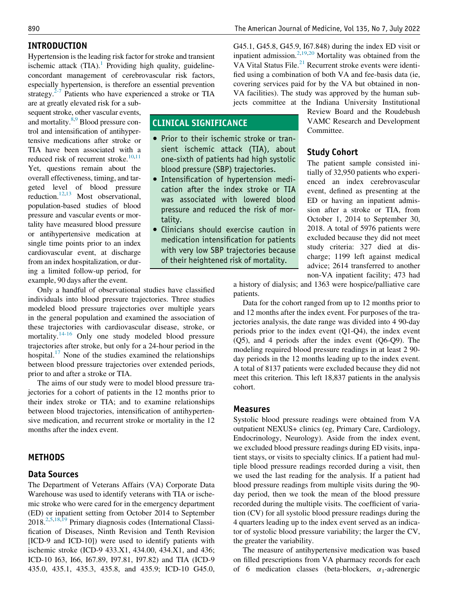# INTRODUCTION

Hypertension is the leading risk factor for stroke and transient ischemic attack  $(TIA)^{1}$  Providing high quality, guidelineconcordant management of cerebrovascular risk factors, especially hypertension, is therefore an essential prevention strategy. $2-7$  Patients who have experienced a stroke or TIA

CLINICAL SIGNIFICANCE

tality.

• Prior to their ischemic stroke or transient ischemic attack (TIA), about one-sixth of patients had high systolic blood pressure (SBP) trajectories. Intensification of hypertension medication after the index stroke or TIA was associated with lowered blood pressure and reduced the risk of mor-

 Clinicians should exercise caution in medication intensification for patients with very low SBP trajectories because of their heightened risk of mortality.

are at greatly elevated risk for a subsequent stroke, other vascular events, and mortality.<sup>[8](#page-6-2)[,9](#page-6-3)</sup> Blood pressure control and intensification of antihypertensive medications after stroke or TIA have been associated with a reduced risk of recurrent stroke. $10,11$  $10,11$ Yet, questions remain about the overall effectiveness, timing, and targeted level of blood pressure reduction.<sup>12[,13](#page-6-7)</sup> Most observational, population-based studies of blood pressure and vascular events or mortality have measured blood pressure or antihypertensive medication at single time points prior to an index cardiovascular event, at discharge from an index hospitalization, or during a limited follow-up period, for example, 90 days after the event.

Only a handful of observational studies have classified individuals into blood pressure trajectories. Three studies modeled blood pressure trajectories over multiple years in the general population and examined the association of these trajectories with cardiovascular disease, stroke, or mortality.<sup>[14-16](#page-6-8)</sup> Only one study modeled blood pressure trajectories after stroke, but only for a 24-hour period in the hospital.<sup>[17](#page-7-0)</sup> None of the studies examined the relationships between blood pressure trajectories over extended periods, prior to and after a stroke or TIA.

The aims of our study were to model blood pressure trajectories for a cohort of patients in the 12 months prior to their index stroke or TIA; and to examine relationships between blood trajectories, intensification of antihypertensive medication, and recurrent stroke or mortality in the 12 months after the index event.

# **METHODS**

#### Data Sources

The Department of Veterans Affairs (VA) Corporate Data Warehouse was used to identify veterans with TIA or ischemic stroke who were cared for in the emergency department (ED) or inpatient setting from October 2014 to September 2018[.2](#page-6-1),[5,](#page-6-9)[18,](#page-7-1)[19](#page-7-2) Primary diagnosis codes (International Classification of Diseases, Ninth Revision and Tenth Revision [ICD-9 and ICD-10]) were used to identify patients with ischemic stroke (ICD-9 433.X1, 434.00, 434.X1, and 436; ICD-10 I63, I66, I67.89, I97.81, I97.82) and TIA (ICD-9 435.0, 435.1, 435.3, 435.8, and 435.9; ICD-10 G45.0,

G45.1, G45.8, G45.9, I67.848) during the index ED visit or inpatient admission.<sup>[2,](#page-6-1)[19](#page-7-2)[,20](#page-7-3)</sup> Mortality was obtained from the VA Vital Status File.<sup>21</sup> Recurrent stroke events were identified using a combination of both VA and fee-basis data (ie, covering services paid for by the VA but obtained in non-VA facilities). The study was approved by the human subjects committee at the Indiana University Institutional

> Review Board and the Roudebush VAMC Research and Development Committee.

## Study Cohort

The patient sample consisted initially of 32,950 patients who experienced an index cerebrovascular event, defined as presenting at the ED or having an inpatient admission after a stroke or TIA, from October 1, 2014 to September 30, 2018. A total of 5976 patients were excluded because they did not meet study criteria: 327 died at discharge; 1199 left against medical advice; 2614 transferred to another non-VA inpatient facility; 473 had

a history of dialysis; and 1363 were hospice/palliative care patients.

Data for the cohort ranged from up to 12 months prior to and 12 months after the index event. For purposes of the trajectories analysis, the date range was divided into 4 90-day periods prior to the index event (Q1-Q4), the index event (Q5), and 4 periods after the index event (Q6-Q9). The modeling required blood pressure readings in at least 2 90 day periods in the 12 months leading up to the index event. A total of 8137 patients were excluded because they did not meet this criterion. This left 18,837 patients in the analysis cohort.

#### Measures

Systolic blood pressure readings were obtained from VA outpatient NEXUS+ clinics (eg, Primary Care, Cardiology, Endocrinology, Neurology). Aside from the index event, we excluded blood pressure readings during ED visits, inpatient stays, or visits to specialty clinics. If a patient had multiple blood pressure readings recorded during a visit, then we used the last reading for the analysis. If a patient had blood pressure readings from multiple visits during the 90 day period, then we took the mean of the blood pressure recorded during the multiple visits. The coefficient of variation (CV) for all systolic blood pressure readings during the 4 quarters leading up to the index event served as an indicator of systolic blood pressure variability; the larger the CV, the greater the variability.

The measure of antihypertensive medication was based on filled prescriptions from VA pharmacy records for each of 6 medication classes (beta-blockers,  $\alpha_1$ -adrenergic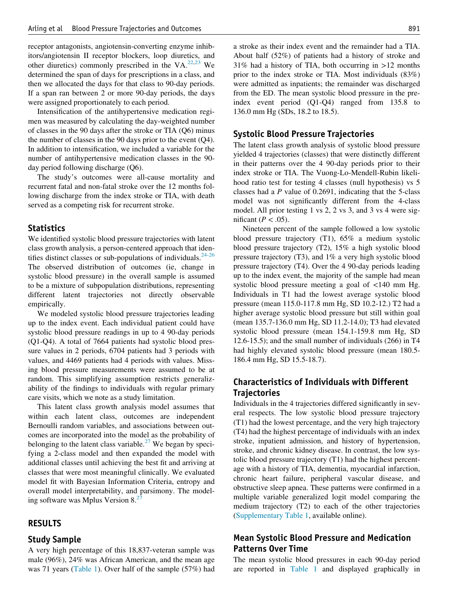receptor antagonists, angiotensin-converting enzyme inhibitors/angiotensin II receptor blockers, loop diuretics, and other diuretics) commonly prescribed in the VA. $^{22,23}$  $^{22,23}$  $^{22,23}$  $^{22,23}$  We determined the span of days for prescriptions in a class, and then we allocated the days for that class to 90-day periods. If a span ran between 2 or more 90-day periods, the days were assigned proportionately to each period.

Intensification of the antihypertensive medication regimen was measured by calculating the day-weighted number of classes in the 90 days after the stroke or TIA (Q6) minus the number of classes in the 90 days prior to the event (Q4). In addition to intensification, we included a variable for the number of antihypertensive medication classes in the 90 day period following discharge (Q6).

The study's outcomes were all-cause mortality and recurrent fatal and non-fatal stroke over the 12 months following discharge from the index stroke or TIA, with death served as a competing risk for recurrent stroke.

## **Statistics**

We identified systolic blood pressure trajectories with latent class growth analysis, a person-centered approach that identifies distinct classes or sub-populations of individuals. $24-26$ The observed distribution of outcomes (ie, change in systolic blood pressure) in the overall sample is assumed to be a mixture of subpopulation distributions, representing different latent trajectories not directly observable empirically.

We modeled systolic blood pressure trajectories leading up to the index event. Each individual patient could have systolic blood pressure readings in up to 4 90-day periods (Q1-Q4). A total of 7664 patients had systolic blood pressure values in 2 periods, 6704 patients had 3 periods with values, and 4469 patients had 4 periods with values. Missing blood pressure measurements were assumed to be at random. This simplifying assumption restricts generalizability of the findings to individuals with regular primary care visits, which we note as a study limitation.

This latent class growth analysis model assumes that within each latent class, outcomes are independent Bernoulli random variables, and associations between outcomes are incorporated into the model as the probability of belonging to the latent class variable.<sup>[27](#page-7-8)</sup> We began by specifying a 2-class model and then expanded the model with additional classes until achieving the best fit and arriving at classes that were most meaningful clinically. We evaluated model fit with Bayesian Information Criteria, entropy and overall model interpretability, and parsimony. The modeling software was Mplus Version 8.<sup>2</sup>

# RESULTS

## Study Sample

A very high percentage of this 18,837-veteran sample was male (96%), 24% was African American, and the mean age was 71 years [\(Table 1](#page-3-0)). Over half of the sample (57%) had a stroke as their index event and the remainder had a TIA. About half (52%) of patients had a history of stroke and  $31\%$  had a history of TIA, both occurring in  $>12$  months prior to the index stroke or TIA. Most individuals (83%) were admitted as inpatients; the remainder was discharged from the ED. The mean systolic blood pressure in the preindex event period (Q1-Q4) ranged from 135.8 to 136.0 mm Hg (SDs, 18.2 to 18.5).

# Systolic Blood Pressure Trajectories

The latent class growth analysis of systolic blood pressure yielded 4 trajectories (classes) that were distinctly different in their patterns over the 4 90-day periods prior to their index stroke or TIA. The Vuong-Lo-Mendell-Rubin likelihood ratio test for testing 4 classes (null hypothesis) vs 5 classes had a P value of 0.2691, indicating that the 5-class model was not significantly different from the 4-class model. All prior testing 1 vs 2, 2 vs 3, and 3 vs 4 were significant ( $P < .05$ ).

Nineteen percent of the sample followed a low systolic blood pressure trajectory (T1), 65% a medium systolic blood pressure trajectory (T2), 15% a high systolic blood pressure trajectory (T3), and 1% a very high systolic blood pressure trajectory (T4). Over the 4 90-day periods leading up to the index event, the majority of the sample had mean systolic blood pressure meeting a goal of <140 mm Hg. Individuals in T1 had the lowest average systolic blood pressure (mean 115.0-117.8 mm Hg, SD 10.2-12.) T2 had a higher average systolic blood pressure but still within goal (mean 135.7-136.0 mm Hg, SD 11.2-14.0); T3 had elevated systolic blood pressure (mean 154.1-159.8 mm Hg, SD 12.6-15.5); and the small number of individuals (266) in T4 had highly elevated systolic blood pressure (mean 180.5- 186.4 mm Hg, SD 15.5-18.7).

# Characteristics of Individuals with Different **Trajectories**

Individuals in the 4 trajectories differed significantly in several respects. The low systolic blood pressure trajectory (T1) had the lowest percentage, and the very high trajectory (T4) had the highest percentage of individuals with an index stroke, inpatient admission, and history of hypertension, stroke, and chronic kidney disease. In contrast, the low systolic blood pressure trajectory (T1) had the highest percentage with a history of TIA, dementia, myocardial infarction, chronic heart failure, peripheral vascular disease, and obstructive sleep apnea. These patterns were confirmed in a multiple variable generalized logit model comparing the medium trajectory (T2) to each of the other trajectories [\(Supplementary Table 1](#page-8-0), available online).

# Mean Systolic Blood Pressure and Medication Patterns Over Time

The mean systolic blood pressures in each 90-day period are reported in [Table 1](#page-3-0) and displayed graphically in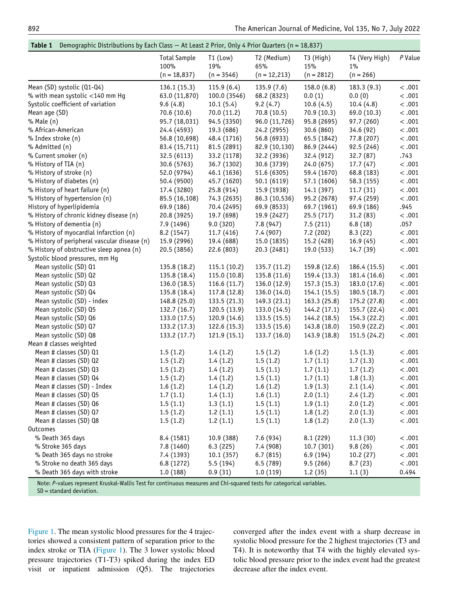## Table 1 Demographic Distributions by Each Class − At Least 2 Prior, Only 4 Prior Quarters (n = 18,837)

<span id="page-3-0"></span>

|                                              | <b>Total Sample</b>    | $T1$ (Low)          | T2 (Medium)            | T3 (High)           | T4 (Very High)    | $P$ Value |
|----------------------------------------------|------------------------|---------------------|------------------------|---------------------|-------------------|-----------|
|                                              | 100%<br>$(n = 18,837)$ | 19%<br>$(n = 3546)$ | 65%<br>$(n = 12, 213)$ | 15%<br>$(n = 2812)$ | 1%<br>$(n = 266)$ |           |
|                                              |                        |                     |                        |                     |                   |           |
| Mean (SD) systolic (Q1-Q4)                   | 136.1(15.3)            | 115.9(6.4)          | 135.9(7.6)             | 158.0(6.8)          | 183.3 (9.3)       | < .001    |
| % with mean systolic <140 mm Hg              | 63.0 (11,870)          | 100.0 (3546)        | 68.2 (8323)            | 0.0(1)              | 0.0(0)            | < .001    |
| Systolic coefficient of variation            | 9.6(4.8)               | 10.1(5.4)           | 9.2(4.7)               | 10.6(4.5)           | 10.4(4.8)         | < .001    |
| Mean age (SD)                                | 70.6 (10.6)            | 70.0 (11.2)         | 70.8 (10.5)            | 70.9(10.3)          | 69.0 (10.3)       | < .001    |
| % Male (n)                                   | 95.7 (18,031)          | 94.5 (3350)         | 96.0 (11,726)          | 95.8 (2695)         | 97.7 (260)        | < .001    |
| % African-American                           | 24.4 (4593)            | 19.3 (686)          | 24.2 (2955)            | 30.6(860)           | 34.6(92)          | < .001    |
| % Index stroke (n)                           | 56.8 (10,698)          | 48.4 (1716)         | 56.8 (6933)            | 65.5 (1842)         | 77.8 (207)        | < .001    |
| % Admitted (n)                               | 83.4 (15,711)          | 81.5 (2891)         | 82.9 (10,130)          | 86.9 (2444)         | 92.5 (246)        | < .001    |
| % Current smoker (n)                         | 32.5 (6113)            | 33.2 (1178)         | 32.2 (3936)            | 32.4 (912)          | 32.7(87)          | .743      |
| % History of TIA (n)                         | 30.6 (5763)            | 36.7 (1302)         | 30.6 (3739)            | 24.0 (675)          | 17.7(47)          | < .001    |
| % History of stroke (n)                      | 52.0 (9794)            | 46.1 (1636)         | 51.6 (6305)            | 59.4 (1670)         | 68.8 (183)        | < .001    |
| % History of diabetes (n)                    | 50.4 (9500)            | 45.7 (1620)         | 50.1 (6119)            | 57.1 (1606)         | 58.3 (155)        | < .001    |
| % History of heart failure (n)               | 17.4 (3280)            | 25.8(914)           | 15.9 (1938)            | 14.1 (397)          | 11.7(31)          | < .001    |
| % History of hypertension (n)                | 85.5 (16,108)          | 74.3 (2635)         | 86.3 (10,536)          | 95.2 (2678)         | 97.4 (259)        | < .001    |
| History of hyperlipidemia                    | 69.9 (186)             | 70.4 (2495)         | 69.9 (8533)            | 69.7 (1961)         | 69.9 (186)        | .945      |
| % History of chronic kidney disease (n)      | 20.8 (3925)            | 19.7 (698)          | 19.9 (2427)            | 25.5(717)           | 31.2(83)          | < .001    |
| % History of dementia (n)                    | 7.9 (1496)             | 9.0(320)            | 7.8 (947)              | 7.5(211)            | 6.8(18)           | .057      |
| % History of myocardial infarction (n)       | 8.2 (1547)             | 11.7(416)           | 7.4(907)               | 7.2(202)            | 8.3(22)           | < .001    |
| % History of peripheral vascular disease (n) | 15.9 (2996)            | 19.4 (688)          | 15.0 (1835)            | 15.2 (428)          | 16.9(45)          | < .001    |
| % History of obstructive sleep apnea (n)     | 20.5 (3856)            | 22.6 (803)          | 20.3 (2481)            | 19.0 (533)          | 14.7 (39)         | < .001    |
| Systolic blood pressures, mm Hg              |                        |                     |                        |                     |                   |           |
| Mean systolic (SD) Q1                        | 135.8 (18.2)           | 115.1(10.2)         | 135.7 (11.2)           | 159.8 (12.6)        | 186.4 (15.5)      | < .001    |
| Mean systolic (SD) Q2                        | 135.8 (18.4)           | 115.0(10.8)         | 135.8 (11.6)           | 159.4 (13.3)        | 181.4 (16.6)      | < .001    |
| Mean systolic (SD) Q3                        | 136.0(18.5)            | 116.6(11.7)         | 136.0 (12.9)           | 157.3 (15.3)        | 183.0 (17.6)      | < .001    |
| Mean systolic (SD) Q4                        | 135.8 (18.4)           | 117.8 (12.8)        | 136.0 (14.0)           | 154.1 (15.5)        | 180.5(18.7)       | < .001    |
| Mean systolic (SD) - index                   | 148.8 (25.0)           | 133.5(21.3)         | 149.3 (23.1)           | 163.3 (25.8)        | 175.2 (27.8)      | < .001    |
| Mean systolic (SD) Q5                        | 132.7(16.7)            | 120.5 (13.9)        | 133.0 (14.5)           | 144.2 (17.1)        | 155.7 (22.4)      | < .001    |
| Mean systolic (SD) Q6                        | 133.0 (17.5)           | 120.9 (14.6)        | 133.5 (15.5)           | 144.2 (18.5)        | 154.3 (22.2)      | < .001    |
| Mean systolic (SD) Q7                        | 133.2 (17.3)           | 122.6(15.3)         | 133.5(15.6)            | 143.8 (18.0)        | 150.9 (22.2)      | < .001    |
| Mean systolic (SD) Q8                        | 133.2 (17.7)           | 121.9 (15.1)        | 133.7(16.0)            | 143.9 (18.8)        | 151.5 (24.2)      | < .001    |
| Mean # classes weighted                      |                        |                     |                        |                     |                   |           |
| Mean # classes (SD) Q1                       | 1.5(1.2)               | 1.4(1.2)            | 1.5(1.2)               | 1.6(1.2)            | 1.5(1.3)          | < .001    |
| Mean # classes (SD) Q2                       | 1.5(1.2)               | 1.4(1.2)            | 1.5(1.2)               | 1.7(1.1)            | 1.7(1.3)          | < .001    |
| Mean # classes (SD) Q3                       | 1.5(1.2)               | 1.4(1.2)            | 1.5(1.1)               | 1.7(1.1)            | 1.7(1.2)          | < .001    |
| Mean # classes (SD) Q4                       | 1.5(1.2)               | 1.4(1.2)            | 1.5(1.1)               | 1.7(1.1)            | 1.8(1.3)          | < .001    |
| Mean # classes (SD) - Index                  | 1.6(1.2)               | 1.4(1.2)            | 1.6(1.2)               | 1.9(1.3)            | 2.1(1.4)          | < .001    |
| Mean # classes (SD) Q5                       | 1.7(1.1)               | 1.4(1.1)            | 1.6(1.1)               | 2.0(1.1)            | 2.4(1.2)          | < .001    |
| Mean # classes (SD) Q6                       | 1.5(1.1)               | 1.3(1.1)            | 1.5(1.1)               | 1.9(1.1)            | 2.0(1.2)          | < .001    |
| Mean # classes (SD) Q7                       | 1.5(1.2)               | 1.2(1.1)            | 1.5(1.1)               | 1.8(1.2)            | 2.0(1.3)          | < .001    |
| Mean # classes (SD) Q8                       | 1.5(1.2)               | 1.2(1.1)            | 1.5(1.1)               | 1.8(1.2)            | 2.0(1.3)          | < .001    |
| <b>Outcomes</b>                              |                        |                     |                        |                     |                   |           |
| % Death 365 days                             | 8.4 (1581)             | 10.9 (388)          | 7.6 (934)              | 8.1 (229)           | 11.3(30)          | < .001    |
| % Stroke 365 days                            | 7.8 (1460)             | 6.3(225)            | 7.4 (908)              | 10.7 (301)          | 9.8(26)           | < .001    |
| % Death 365 days no stroke                   | 7.4 (1393)             | 10.1(357)           | 6.7(815)               | 6.9(194)            | 10.2(27)          | < .001    |
| % Stroke no death 365 days                   | 6.8 (1272)             | 5.5(194)            | 6.5(789)               | 9.5(266)            | 8.7(23)           | < .001    |
| % Death 365 days with stroke                 | 1.0(188)               | 0.9(31)             | 1.0(119)               | 1.2(35)             | 1.1(3)            | 0.494     |

Note: P-values represent Kruskal-Wallis Test for continuous measures and Chi-squared tests for categorical variables. SD = standard deviation.

[Figure 1](#page-4-0). The mean systolic blood pressures for the 4 trajectories showed a consistent pattern of separation prior to the index stroke or TIA [\(Figure 1](#page-4-0)). The 3 lower systolic blood pressure trajectories (T1-T3) spiked during the index ED visit or inpatient admission (Q5). The trajectories converged after the index event with a sharp decrease in systolic blood pressure for the 2 highest trajectories (T3 and T4). It is noteworthy that T4 with the highly elevated systolic blood pressure prior to the index event had the greatest decrease after the index event.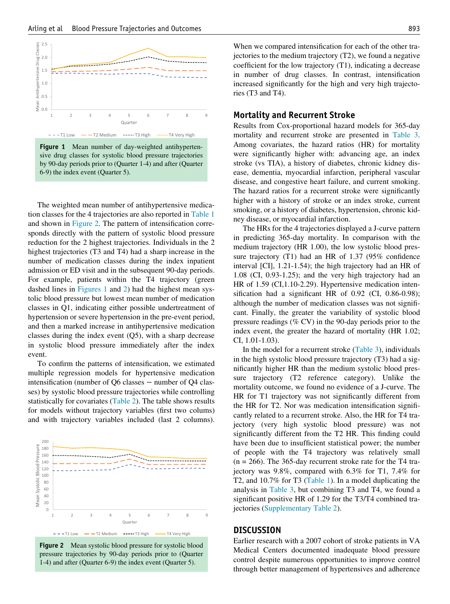<span id="page-4-0"></span>



The weighted mean number of antihypertensive medication classes for the 4 trajectories are also reported in [Table 1](#page-3-0) and shown in [Figure 2](#page-4-1). The pattern of intensification corresponds directly with the pattern of systolic blood pressure reduction for the 2 highest trajectories. Individuals in the 2 highest trajectories (T3 and T4) had a sharp increase in the number of medication classes during the index inpatient admission or ED visit and in the subsequent 90-day periods. For example, patients within the T4 trajectory (green dashed lines in [Figures 1](#page-4-0) and [2](#page-4-1)) had the highest mean systolic blood pressure but lowest mean number of medication classes in Q1, indicating either possible undertreatment of hypertension or severe hypertension in the pre-event period, and then a marked increase in antihypertensive medication classes during the index event (Q5), with a sharp decrease in systolic blood pressure immediately after the index event.

To confirm the patterns of intensification, we estimated multiple regression models for hypertensive medication intensification (number of Q6 classes − number of Q4 classes) by systolic blood pressure trajectories while controlling statistically for covariates ([Table 2](#page-5-0)). The table shows results for models without trajectory variables (first two colums) and with trajectory variables included (last 2 columns).

<span id="page-4-1"></span>

Figure 2 Mean systolic blood pressure for systolic blood pressure trajectories by 90-day periods prior to (Quarter 1-4) and after (Quarter 6-9) the index event (Quarter 5).

When we compared intensification for each of the other trajectories to the medium trajectory (T2), we found a negative coefficient for the low trajectory (T1), indicating a decrease in number of drug classes. In contrast, intensification increased significantly for the high and very high trajectories (T3 and T4).

# Mortality and Recurrent Stroke

Results from Cox-proportional hazard models for 365-day mortality and recurrent stroke are presented in [Table 3](#page-5-1). Among covariates, the hazard ratios (HR) for mortality were significantly higher with: advancing age, an index stroke (vs TIA), a history of diabetes, chronic kidney disease, dementia, myocardial infarction, peripheral vascular disease, and congestive heart failure, and current smoking. The hazard ratios for a recurrent stroke were significantly higher with a history of stroke or an index stroke, current smoking, or a history of diabetes, hypertension, chronic kidney disease, or myocardial infarction.

The HRs for the 4 trajectories displayed a J-curve pattern in predicting 365-day mortality. In comparison with the medium trajectory (HR 1.00), the low systolic blood pressure trajectory (T1) had an HR of 1.37 (95% confidence interval [CI], 1.21-1.54); the high trajectory had an HR of 1.08 (CI, 0.93-1.25); and the very high trajectory had an HR of 1.59 (CI,1.10-2.29). Hypertensive medication intensification had a significant HR of 0.92 (CI, 0.86-0.98); although the number of medication classes was not significant. Finally, the greater the variability of systolic blood pressure readings (% CV) in the 90-day periods prior to the index event, the greater the hazard of mortality (HR 1.02; CI, 1.01-1.03).

In the model for a recurrent stroke ([Table 3](#page-5-1)), individuals in the high systolic blood pressure trajectory (T3) had a significantly higher HR than the medium systolic blood pressure trajectory (T2 reference category). Unlike the mortality outcome, we found no evidence of a J-curve. The HR for T1 trajectory was not significantly different from the HR for T2. Nor was medication intensification significantly related to a recurrent stroke. Also, the HR for T4 trajectory (very high systolic blood pressure) was not significantly different from the T2 HR. This finding could have been due to insufficient statistical power; the number of people with the T4 trajectory was relatively small  $(n = 266)$ . The 365-day recurrent stroke rate for the T4 trajectory was 9.8%, compared with 6.3% for T1, 7.4% for T2, and 10.7% for T3 ([Table 1](#page-3-0)). In a model duplicating the analysis in [Table 3](#page-5-1), but combining T3 and T4, we found a significant positive HR of 1.29 for the T3/T4 combined trajectories ([Supplementary Table 2\)](#page-8-1).

## **DISCUSSION**

Earlier research with a 2007 cohort of stroke patients in VA Medical Centers documented inadequate blood pressure control despite numerous opportunities to improve control through better management of hypertensives and adherence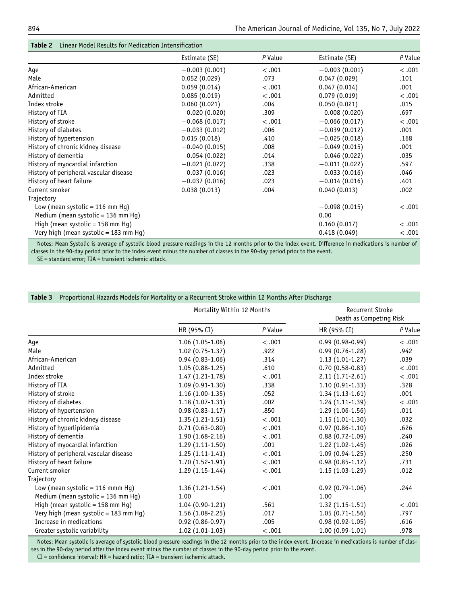<span id="page-5-0"></span>

|                                        | Estimate (SE)   | P Value | Estimate (SE)   | P Value |
|----------------------------------------|-----------------|---------|-----------------|---------|
| Age                                    | $-0.003(0.001)$ | < .001  | $-0.003(0.001)$ | < .001  |
| Male                                   | 0.052(0.029)    | .073    | 0.047(0.029)    | .101    |
| African-American                       | 0.059(0.014)    | < .001  | 0.047(0.014)    | .001    |
| Admitted                               | 0.085(0.019)    | < .001  | 0.079(0.019)    | < .001  |
| Index stroke                           | 0.060(0.021)    | .004    | 0.050(0.021)    | .015    |
| History of TIA                         | $-0.020(0.020)$ | .309    | $-0.008(0.020)$ | .697    |
| History of stroke                      | $-0.068(0.017)$ | < .001  | $-0.066(0.017)$ | < .001  |
| History of diabetes                    | $-0.033(0.012)$ | .006    | $-0.039(0.012)$ | .001    |
| History of hypertension                | 0.015(0.018)    | .410    | $-0.025(0.018)$ | .168    |
| History of chronic kidney disease      | $-0.040(0.015)$ | .008    | $-0.049(0.015)$ | .001    |
| History of dementia                    | $-0.054(0.022)$ | .014    | $-0.046(0.022)$ | .035    |
| History of myocardial infarction       | $-0.021(0.022)$ | .338    | $-0.011(0.022)$ | .597    |
| History of peripheral vascular disease | $-0.037(0.016)$ | .023    | $-0.033(0.016)$ | .046    |
| History of heart failure               | $-0.037(0.016)$ | .023    | $-0.014(0.016)$ | .401    |
| Current smoker                         | 0.038(0.013)    | .004    | 0.040(0.013)    | .002    |
| Trajectory                             |                 |         |                 |         |
| Low (mean systolic = 116 mm Hq)        |                 |         | $-0.098(0.015)$ | < .001  |
| Medium (mean systolic = 136 mm Hg)     |                 |         | 0.00            |         |
| High (mean systolic = $158$ mm Hg)     |                 |         | 0.160(0.017)    | < .001  |
| Very high (mean systolic = 183 mm Hg)  |                 |         | 0.418(0.049)    | < .001  |

## Table 2 Linear Model Results for Medication Intensification

Notes: Mean Systolic is average of systolic blood pressure readings in the 12 months prior to the index event. Difference in medications is number of classes in the 90-day period prior to the index event minus the number of classes in the 90-day period prior to the event.

SE = standard error; TIA = transient ischemic attack.

## <span id="page-5-1"></span>Table 3 Proportional Hazards Models for Mortality or a Recurrent Stroke within 12 Months After Discharge

|                                        | Mortality Within 12 Months |         | <b>Recurrent Stroke</b><br>Death as Competing Risk |         |
|----------------------------------------|----------------------------|---------|----------------------------------------------------|---------|
|                                        | HR (95% CI)                | P Value | HR (95% CI)                                        | P Value |
| Age                                    | $1.06(1.05-1.06)$          | < .001  | $0.99(0.98-0.99)$                                  | < .001  |
| Male                                   | $1.02(0.75-1.37)$          | .922    | $0.99(0.76-1.28)$                                  | .942    |
| African-American                       | $0.94(0.83-1.06)$          | .314    | $1.13(1.01-1.27)$                                  | .039    |
| Admitted                               | $1.05(0.88-1.25)$          | .610    | $0.70(0.58-0.83)$                                  | < .001  |
| Index stroke                           | $1.47(1.21-1.78)$          | < .001  | $2.11(1.71-2.61)$                                  | < .001  |
| History of TIA                         | $1.09(0.91-1.30)$          | .338    | $1.10(0.91-1.33)$                                  | .328    |
| History of stroke                      | $1.16(1.00-1.35)$          | .052    | $1.34(1.13-1.61)$                                  | .001    |
| History of diabetes                    | $1.18(1.07-1.31)$          | .002    | $1.24(1.11-1.39)$                                  | < .001  |
| History of hypertension                | $0.98(0.83 - 1.17)$        | .850    | $1.29(1.06-1.56)$                                  | .011    |
| History of chronic kidney disease      | $1.35(1.21-1.51)$          | < .001  | $1.15(1.01-1.30)$                                  | .032    |
| History of hyperlipidemia              | $0.71(0.63 - 0.80)$        | < .001  | $0.97(0.86 - 1.10)$                                | .626    |
| History of dementia                    | $1.90(1.68-2.16)$          | < .001  | $0.88(0.72-1.09)$                                  | .240    |
| History of myocardial infarction       | $1.29(1.11-1.50)$          | .001    | $1.22(1.02-1.45)$                                  | .026    |
| History of peripheral vascular disease | $1.25(1.11-1.41)$          | < .001  | $1.09(0.94-1.25)$                                  | .250    |
| History of heart failure               | $1.70(1.52-1.91)$          | < .001  | $0.98(0.85 - 1.12)$                                | .731    |
| Current smoker                         | $1.29(1.15-1.44)$          | < .001  | $1.15(1.03-1.29)$                                  | .012    |
| Trajectory                             |                            |         |                                                    |         |
| Low (mean systolic = $116$ mmm Hg)     | $1.36(1.21-1.54)$          | < .001  | $0.92(0.79-1.06)$                                  | .244    |
| Medium (mean systolic = 136 mm Hg)     | 1.00                       |         | 1.00                                               |         |
| High (mean systolic = 158 mm Hg)       | $1.04(0.90-1.21)$          | .561    | $1.32(1.15-1.51)$                                  | < .001  |
| Very high (mean systolic = 183 mm Hg)  | $1.56(1.08-2.25)$          | .017    | $1.05(0.71-1.56)$                                  | .797    |
| Increase in medications                | $0.92(0.86 - 0.97)$        | .005    | $0.98(0.92-1.05)$                                  | .616    |
| Greater systolic variability           | $1.02(1.01-1.03)$          | < .001  | $1.00(0.99-1.01)$                                  | .978    |

Notes: Mean systolic is average of systolic blood pressure readings in the 12 months prior to the index event. Increase in medications is number of classes in the 90-day period after the index event minus the number of classes in the 90-day period prior to the event.

CI = confidence interval; HR = hazard ratio; TIA = transient ischemic attack.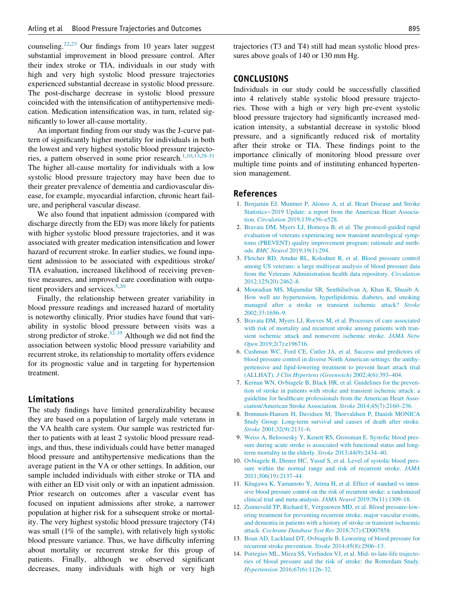counseling.[22](#page-7-5),[23](#page-7-6) Our findings from 10 years later suggest substantial improvement in blood pressure control. After their index stroke or TIA, individuals in our study with high and very high systolic blood pressure trajectories experienced substantial decrease in systolic blood pressure. The post-discharge decrease in systolic blood pressure coincided with the intensification of antihypertensive medication. Medication intensification was, in turn, related significantly to lower all-cause mortality.

An important finding from our study was the J-curve pattern of significantly higher mortality for individuals in both the lowest and very highest systolic blood pressure trajecto-ries, a pattern observed in some prior research.<sup>[1,](#page-6-0)[10](#page-6-4)[,13](#page-6-7)[,28-31](#page-7-9)</sup> The higher all-cause mortality for individuals with a low systolic blood pressure trajectory may have been due to their greater prevalence of dementia and cardiovascular disease, for example, myocardial infarction, chronic heart failure, and peripheral vascular disease.

<span id="page-6-1"></span><span id="page-6-0"></span>We also found that inpatient admission (compared with discharge directly from the ED) was more likely for patients with higher systolic blood pressure trajectories, and it was associated with greater medication intensification and lower hazard of recurrent stroke. In earlier studies, we found inpatient admission to be associated with expeditious stroke/ TIA evaluation, increased likelihood of receiving preventive measures, and improved care coordination with outpa-tient providers and services.<sup>[5](#page-6-9)[,20](#page-7-3)</sup>

<span id="page-6-9"></span>Finally, the relationship between greater variability in blood pressure readings and increased hazard of mortality is noteworthy clinically. Prior studies have found that variability in systolic blood pressure between visits was a strong predictor of stroke.<sup>[32-35](#page-7-10)</sup> Although we did not find the association between systolic blood pressure variability and recurrent stroke, its relationship to mortality offers evidence for its prognostic value and in targeting for hypertension treatment.

# Limitations

<span id="page-6-8"></span><span id="page-6-7"></span><span id="page-6-6"></span><span id="page-6-5"></span><span id="page-6-4"></span><span id="page-6-3"></span><span id="page-6-2"></span>The study findings have limited generalizability because they are based on a population of largely male veterans in the VA health care system. Our sample was restricted further to patients with at least 2 systolic blood pressure readings, and thus, these individuals could have better managed blood pressure and antihypertensive medications than the average patient in the VA or other settings. In addition, our sample included individuals with either stroke or TIA and with either an ED visit only or with an inpatient admission. Prior research on outcomes after a vascular event has focused on inpatient admissions after stroke, a narrower population at higher risk for a subsequent stroke or mortality. The very highest systolic blood pressure trajectory (T4) was small (1% of the sample), with relatively high systolic blood pressure variance. Thus, we have difficulty inferring about mortality or recurrent stroke for this group of patients. Finally, although we observed significant decreases, many individuals with high or very high trajectories (T3 and T4) still had mean systolic blood pressures above goals of 140 or 130 mm Hg.

## CONCLUSIONS

Individuals in our study could be successfully classified into 4 relatively stable systolic blood pressure trajectories. Those with a high or very high pre-event systolic blood pressure trajectory had significantly increased medication intensity, a substantial decrease in systolic blood pressure, and a significantly reduced risk of mortality after their stroke or TIA. These findings point to the importance clinically of monitoring blood pressure over multiple time points and of instituting enhanced hypertension management.

# References

- 1. [Benjamin EJ, Muntner P, Alonso A, et al. Heart Disease and Stroke](http://refhub.elsevier.com/S0002-9343(22)00171-1/sbref0001) Statistics−[2019 Update: a report from the American Heart Associa](http://refhub.elsevier.com/S0002-9343(22)00171-1/sbref0001)tion. Circulation [2019;139:e56–e528.](http://refhub.elsevier.com/S0002-9343(22)00171-1/sbref0001)
- 2. [Bravata DM, Myers LJ, Homoya B, et al. The protocol-guided rapid](http://refhub.elsevier.com/S0002-9343(22)00171-1/sbref0002) [evaluation of veterans experiencing new transient neurological symp](http://refhub.elsevier.com/S0002-9343(22)00171-1/sbref0002)[toms \(PREVENT\) quality improvement program: rationale and meth](http://refhub.elsevier.com/S0002-9343(22)00171-1/sbref0002)ods. BMC Neurol [2019;19\(1\):294.](http://refhub.elsevier.com/S0002-9343(22)00171-1/sbref0002)
- 3. [Fletcher RD, Amdur RL, Kolodner R, et al. Blood pressure control](http://refhub.elsevier.com/S0002-9343(22)00171-1/sbref0003) [among US veterans: a large multiyear analysis of blood pressure data](http://refhub.elsevier.com/S0002-9343(22)00171-1/sbref0003) [from the Veterans Administration health data repository.](http://refhub.elsevier.com/S0002-9343(22)00171-1/sbref0003) Circulation [2012;125\(20\):2462–8.](http://refhub.elsevier.com/S0002-9343(22)00171-1/sbref0003)
- 4. [Mouradian MS, Majumdar SR, Senthilselvan A, Khan K, Shuaib A.](http://refhub.elsevier.com/S0002-9343(22)00171-1/sbref0004) [How well are hypertension, hyperlipidemia, diabetes, and smoking](http://refhub.elsevier.com/S0002-9343(22)00171-1/sbref0004) [managed after a stroke or transient ischemic attack?](http://refhub.elsevier.com/S0002-9343(22)00171-1/sbref0004) Stroke [2002;33:1656–9.](http://refhub.elsevier.com/S0002-9343(22)00171-1/sbref0004)
- 5. [Bravata DM, Myers LJ, Reeves M, et al. Processes of care associated](http://refhub.elsevier.com/S0002-9343(22)00171-1/sbref0005) [with risk of mortality and recurrent stroke among patients with tran](http://refhub.elsevier.com/S0002-9343(22)00171-1/sbref0005)[sient ischemic attack and nonsevere ischemic stroke.](http://refhub.elsevier.com/S0002-9343(22)00171-1/sbref0005) JAMA Netw Open [2019;2\(7\):e196716.](http://refhub.elsevier.com/S0002-9343(22)00171-1/sbref0005)
- 6. [Cushman WC, Ford CE, Cutler JA, et al. Success and predictors of](http://refhub.elsevier.com/S0002-9343(22)00171-1/sbref0006) [blood pressure control in diverse North American settings: the antihy](http://refhub.elsevier.com/S0002-9343(22)00171-1/sbref0006)[pertensive and lipid-lowering treatment to prevent heart attack trial](http://refhub.elsevier.com/S0002-9343(22)00171-1/sbref0006) (ALLHAT). [J Clin Hypertens \(Greenwich\)](http://refhub.elsevier.com/S0002-9343(22)00171-1/sbref0006) 2002;4(6):393–404.
- 7. [Kernan WN, Ovbiagele B, Black HR, et al. Guidelines for the preven](http://refhub.elsevier.com/S0002-9343(22)00171-1/sbref0007)[tion of stroke in patients with stroke and transient ischemic attack: a](http://refhub.elsevier.com/S0002-9343(22)00171-1/sbref0007) [guideline for healthcare professionals from the American Heart Asso](http://refhub.elsevier.com/S0002-9343(22)00171-1/sbref0007)[ciation/American Stroke Association.](http://refhub.elsevier.com/S0002-9343(22)00171-1/sbref0007) Stroke 2014;45(7):2160–236.
- 8. [Brønnum-Hansen H, Davidsen M, Thorvaldsen P, Danish MONICA](http://refhub.elsevier.com/S0002-9343(22)00171-1/sbref0008) [Study Group. Long-term survival and causes of death after stroke.](http://refhub.elsevier.com/S0002-9343(22)00171-1/sbref0008) Stroke [2001;32\(9\):2131–6.](http://refhub.elsevier.com/S0002-9343(22)00171-1/sbref0008)
- 9. [Weiss A, Beloosesky Y, Kenett RS, Grossman E. Systolic blood pres](http://refhub.elsevier.com/S0002-9343(22)00171-1/sbref0009)[sure during acute stroke is associated with functional status and long](http://refhub.elsevier.com/S0002-9343(22)00171-1/sbref0009)[term mortality in the elderly.](http://refhub.elsevier.com/S0002-9343(22)00171-1/sbref0009) Stroke 2013;44(9):2434–40.
- 10. [Ovbiagele B, Diener HC, Yusuf S, et al. Level of systolic blood pres](http://refhub.elsevier.com/S0002-9343(22)00171-1/sbref0010)[sure within the normal range and risk of recurrent stroke.](http://refhub.elsevier.com/S0002-9343(22)00171-1/sbref0010) JAMA [2011;306\(19\):2137–44.](http://refhub.elsevier.com/S0002-9343(22)00171-1/sbref0010)
- 11. [Kitagawa K, Yamamoto Y, Arima H, et al. Effect of standard vs inten](http://refhub.elsevier.com/S0002-9343(22)00171-1/sbref0011)[sive blood pressure control on the risk of recurrent stroke: a randomized](http://refhub.elsevier.com/S0002-9343(22)00171-1/sbref0011) [clinical trial and meta-analysis.](http://refhub.elsevier.com/S0002-9343(22)00171-1/sbref0011) JAMA Neurol 2019;76(11):1309–18.
- 12. [Zonneveld TP, Richard E, Vergouwen MD, et al. Blood pressure-low](http://refhub.elsevier.com/S0002-9343(22)00171-1/sbref0012)[ering treatment for preventing recurrent stroke, major vascular events,](http://refhub.elsevier.com/S0002-9343(22)00171-1/sbref0012) [and dementia in patients with a history of stroke or transient ischaemic](http://refhub.elsevier.com/S0002-9343(22)00171-1/sbref0012) attack. [Cochrane Database Syst Rev](http://refhub.elsevier.com/S0002-9343(22)00171-1/sbref0012) 2018;7(7):CD007858.
- 13. [Boan AD, Lackland DT, Ovbiagele B. Lowering of blood pressure for](http://refhub.elsevier.com/S0002-9343(22)00171-1/sbref0013) [recurrent stroke prevention.](http://refhub.elsevier.com/S0002-9343(22)00171-1/sbref0013) Stroke 2014;45(8):2506–13.
- 14. [Portegies ML, Mirza SS, Verlinden VJ, et al. Mid- to-late-life trajecto](http://refhub.elsevier.com/S0002-9343(22)00171-1/sbref0014)[ries of blood pressure and the risk of stroke: the Rotterdam Study.](http://refhub.elsevier.com/S0002-9343(22)00171-1/sbref0014) Hypertension [2016;67\(6\):1126–32.](http://refhub.elsevier.com/S0002-9343(22)00171-1/sbref0014)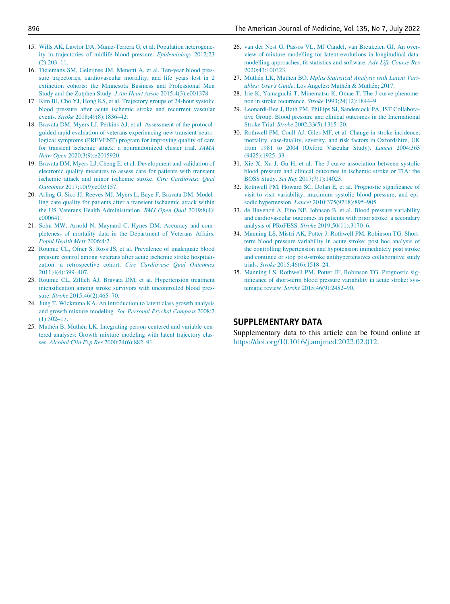- 15. [Wills AK, Lawlor DA, Muniz-Terrera G, et al. Population heterogene](http://refhub.elsevier.com/S0002-9343(22)00171-1/sbref0015)[ity in trajectories of midlife blood pressure.](http://refhub.elsevier.com/S0002-9343(22)00171-1/sbref0015) Epidemiology 2012;23 [\(2\):203–11.](http://refhub.elsevier.com/S0002-9343(22)00171-1/sbref0015)
- <span id="page-7-8"></span>16. [Tielemans SM, Geleijnse JM, Menotti A, et al. Ten-year blood pres](http://refhub.elsevier.com/S0002-9343(22)00171-1/sbref0016)[sure trajectories, cardiovascular mortality, and life years lost in 2](http://refhub.elsevier.com/S0002-9343(22)00171-1/sbref0016) [extinction cohorts: the Minnesota Business and Professional Men](http://refhub.elsevier.com/S0002-9343(22)00171-1/sbref0016) [Study and the Zutphen Study.](http://refhub.elsevier.com/S0002-9343(22)00171-1/sbref0016) J Am Heart Assoc 2015;4(3):e001378.
- <span id="page-7-9"></span><span id="page-7-0"></span>17. [Kim BJ, Cho YJ, Hong KS, et al. Trajectory groups of 24-hour systolic](http://refhub.elsevier.com/S0002-9343(22)00171-1/sbref0017) [blood pressure after acute ischemic stroke and recurrent vascular](http://refhub.elsevier.com/S0002-9343(22)00171-1/sbref0017) events. Stroke [2018;49\(8\):1836–42.](http://refhub.elsevier.com/S0002-9343(22)00171-1/sbref0017)
- <span id="page-7-1"></span>18. [Bravata DM, Myers LJ, Perkins AJ, et al. Assessment of the protocol](http://refhub.elsevier.com/S0002-9343(22)00171-1/sbref0018)[guided rapid evaluation of veterans experiencing new transient neuro](http://refhub.elsevier.com/S0002-9343(22)00171-1/sbref0018)[logical symptoms \(PREVENT\) program for improving quality of care](http://refhub.elsevier.com/S0002-9343(22)00171-1/sbref0018) [for transient ischemic attack: a nonrandomized cluster trial.](http://refhub.elsevier.com/S0002-9343(22)00171-1/sbref0018) JAMA Netw Open [2020;3\(9\):e2015920.](http://refhub.elsevier.com/S0002-9343(22)00171-1/sbref0018)
- <span id="page-7-2"></span>19. [Bravata DM, Myers LJ, Cheng E, et al. Development and validation of](http://refhub.elsevier.com/S0002-9343(22)00171-1/sbref0019) [electronic quality measures to assess care for patients with transient](http://refhub.elsevier.com/S0002-9343(22)00171-1/sbref0019) [ischemic attack and minor ischemic stroke.](http://refhub.elsevier.com/S0002-9343(22)00171-1/sbref0019) Circ Cardiovasc Qual Outcomes [2017;10\(9\):e003157.](http://refhub.elsevier.com/S0002-9343(22)00171-1/sbref0019)
- <span id="page-7-10"></span><span id="page-7-3"></span>20. [Arling G, Sico JJ, Reeves MJ, Myers L, Baye F, Bravata DM. Model](http://refhub.elsevier.com/S0002-9343(22)00171-1/sbref0020)[ling care quality for patients after a transient ischaemic attack within](http://refhub.elsevier.com/S0002-9343(22)00171-1/sbref0020) [the US Veterans Health Administration.](http://refhub.elsevier.com/S0002-9343(22)00171-1/sbref0020) BMJ Open Qual 2019;8(4): [e000641.](http://refhub.elsevier.com/S0002-9343(22)00171-1/sbref0020)
- <span id="page-7-4"></span>21. [Sohn MW, Arnold N, Maynard C, Hynes DM. Accuracy and com](http://refhub.elsevier.com/S0002-9343(22)00171-1/sbref0021)[pleteness of mortality data in the Department of Veterans Affairs.](http://refhub.elsevier.com/S0002-9343(22)00171-1/sbref0021) [Popul Health Metr](http://refhub.elsevier.com/S0002-9343(22)00171-1/sbref0021) 2006;4:2.
- <span id="page-7-5"></span>22. [Roumie CL, Ofner S, Ross JS, et al. Prevalence of inadequate blood](http://refhub.elsevier.com/S0002-9343(22)00171-1/sbref0022) [pressure control among veterans after acute ischemic stroke hospitali-](http://refhub.elsevier.com/S0002-9343(22)00171-1/sbref0022)zation: a retrospective cohort. [Circ Cardiovasc Qual Outcomes](http://refhub.elsevier.com/S0002-9343(22)00171-1/sbref0022) [2011;4\(4\):399–407.](http://refhub.elsevier.com/S0002-9343(22)00171-1/sbref0022)
- <span id="page-7-6"></span>23. [Roumie CL, Zillich AJ, Bravata DM, et al. Hypertension treatment](http://refhub.elsevier.com/S0002-9343(22)00171-1/sbref0023) [intensification among stroke survivors with uncontrolled blood pres](http://refhub.elsevier.com/S0002-9343(22)00171-1/sbref0023)sure. Stroke [2015;46\(2\):465–70.](http://refhub.elsevier.com/S0002-9343(22)00171-1/sbref0023)
- <span id="page-7-7"></span>24. [Jung T, Wickrama KA. An introduction to latent class growth analysis](http://refhub.elsevier.com/S0002-9343(22)00171-1/sbref0024) and growth mixture modeling. [Soc Personal Psychol Compass](http://refhub.elsevier.com/S0002-9343(22)00171-1/sbref0024) 2008;2 [\(1\):302–17.](http://refhub.elsevier.com/S0002-9343(22)00171-1/sbref0024)
- 25. [Muth](http://refhub.elsevier.com/S0002-9343(22)00171-1/sbref0025)é[n B, Muth](http://refhub.elsevier.com/S0002-9343(22)00171-1/sbref0025)én LK. Integrating person-centered and variable-cen[tered analyses: Growth mixture modeling with latent trajectory clas](http://refhub.elsevier.com/S0002-9343(22)00171-1/sbref0025)ses. [Alcohol Clin Exp Res](http://refhub.elsevier.com/S0002-9343(22)00171-1/sbref0025) 2000;24(6):882–91.
- 26. [van der Nest G, Passos VL, MJ Candel, van Breukelen GJ. An over](http://refhub.elsevier.com/S0002-9343(22)00171-1/sbref0026)[view of mixture modelling for latent evolutions in longitudinal data:](http://refhub.elsevier.com/S0002-9343(22)00171-1/sbref0026) [modelling approaches, fit statistics and software.](http://refhub.elsevier.com/S0002-9343(22)00171-1/sbref0026) Adv Life Course Res [2020;43:100323.](http://refhub.elsevier.com/S0002-9343(22)00171-1/sbref0026)
- 27. [Muth](http://refhub.elsevier.com/S0002-9343(22)00171-1/sbref0027)én LK, Muthen BO. [Mplus Statistical Analysis with Latent Vari-](http://refhub.elsevier.com/S0002-9343(22)00171-1/sbref0027)ables: User's Guide[. Los Angeles: Muth](http://refhub.elsevier.com/S0002-9343(22)00171-1/sbref0027)é[n & Muth](http://refhub.elsevier.com/S0002-9343(22)00171-1/sbref0027)é[n; 2017.](http://refhub.elsevier.com/S0002-9343(22)00171-1/sbref0027)
- 28. [Irie K, Yamaguchi T, Minematsu K, Omae T. The J-curve phenome](http://refhub.elsevier.com/S0002-9343(22)00171-1/sbref0028)[non in stroke recurrence.](http://refhub.elsevier.com/S0002-9343(22)00171-1/sbref0028) Stroke 1993;24(12):1844–9.
- 29. [Leonardi-Bee J, Bath PM, Phillips SJ, Sandercock PA, IST Collabora](http://refhub.elsevier.com/S0002-9343(22)00171-1/sbref0029)[tive Group. Blood pressure and clinical outcomes in the International](http://refhub.elsevier.com/S0002-9343(22)00171-1/sbref0029) Stroke Trial. Stroke [2002;33\(5\):1315–20.](http://refhub.elsevier.com/S0002-9343(22)00171-1/sbref0029)
- 30. [Rothwell PM, Coull AJ, Giles MF, et al. Change in stroke incidence,](http://refhub.elsevier.com/S0002-9343(22)00171-1/sbref0030) [mortality, case-fatality, severity, and risk factors in Oxfordshire, UK](http://refhub.elsevier.com/S0002-9343(22)00171-1/sbref0030) [from 1981 to 2004 \(Oxford Vascular Study\).](http://refhub.elsevier.com/S0002-9343(22)00171-1/sbref0030) Lancet 2004;363 [\(9425\):1925–33.](http://refhub.elsevier.com/S0002-9343(22)00171-1/sbref0030)
- 31. [Xie X, Xu J, Gu H, et al. The J-curve association between systolic](http://refhub.elsevier.com/S0002-9343(22)00171-1/sbref0031) [blood pressure and clinical outcomes in ischemic stroke or TIA: the](http://refhub.elsevier.com/S0002-9343(22)00171-1/sbref0031) BOSS Study. Sci Rep [2017;7\(1\):14023.](http://refhub.elsevier.com/S0002-9343(22)00171-1/sbref0031)
- 32. [Rothwell PM, Howard SC, Dolan E, et al. Prognostic significance of](http://refhub.elsevier.com/S0002-9343(22)00171-1/sbref0032) [visit-to-visit variability, maximum systolic blood pressure, and epi](http://refhub.elsevier.com/S0002-9343(22)00171-1/sbref0032)sodic hypertension. Lancet [2010;375\(9718\):895–905.](http://refhub.elsevier.com/S0002-9343(22)00171-1/sbref0032)
- 33. [de Havenon A, Fino NF, Johnson B, et al. Blood pressure variability](http://refhub.elsevier.com/S0002-9343(22)00171-1/sbref0033) [and cardiovascular outcomes in patients with prior stroke: a secondary](http://refhub.elsevier.com/S0002-9343(22)00171-1/sbref0033) [analysis of PRoFESS.](http://refhub.elsevier.com/S0002-9343(22)00171-1/sbref0033) Stroke 2019;50(11):3170–6.
- 34. [Manning LS, Mistri AK, Potter J, Rothwell PM, Robinson TG. Short](http://refhub.elsevier.com/S0002-9343(22)00171-1/sbref0034)[term blood pressure variability in acute stroke: post hoc analysis of](http://refhub.elsevier.com/S0002-9343(22)00171-1/sbref0034) [the controlling hypertension and hypotension immediately post stroke](http://refhub.elsevier.com/S0002-9343(22)00171-1/sbref0034) [and continue or stop post-stroke antihypertensives collaborative study](http://refhub.elsevier.com/S0002-9343(22)00171-1/sbref0034) trials. Stroke [2015;46\(6\):1518–24.](http://refhub.elsevier.com/S0002-9343(22)00171-1/sbref0034)
- 35. [Manning LS, Rothwell PM, Potter JF, Robinson TG. Prognostic sig](http://refhub.elsevier.com/S0002-9343(22)00171-1/sbref0035)[nificance of short-term blood pressure variability in acute stroke: sys](http://refhub.elsevier.com/S0002-9343(22)00171-1/sbref0035)tematic review. Stroke [2015;46\(9\):2482–90.](http://refhub.elsevier.com/S0002-9343(22)00171-1/sbref0035)

## SUPPLEMENTARY DATA

Supplementary data to this article can be found online at <https://doi.org/10.1016/j.amjmed.2022.02.012>.